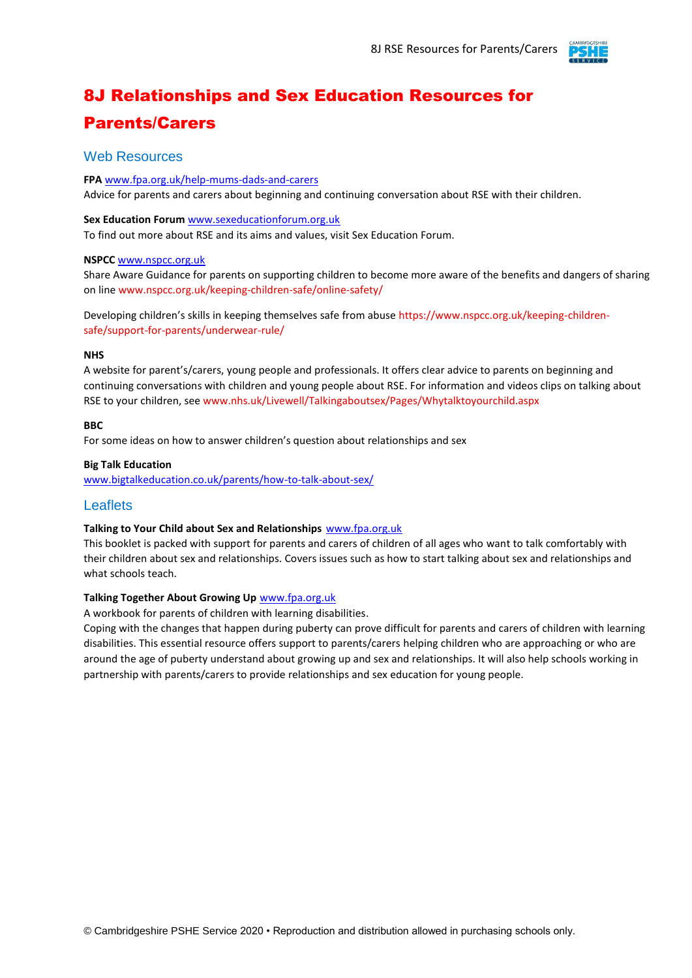

# 8J Relationships and Sex Education Resources for Parents/Carers

### Web Resources

**FPA** [www.fpa.org.uk/help-mums-dads-and-carers](http://www.fpa.org.uk/help-mums-dads-and-carers) Advice for parents and carers about beginning and continuing conversation about RSE with their children.

#### **Sex Education Forum** [www.sexeducationforum.org.uk](http://www.sexeducationforum.org.uk/)

To find out more about RSE and its aims and values, visit Sex Education Forum.

#### **NSPCC** [www.nspcc.org.uk](http://www.nspcc.org.uk/)

Share Aware Guidance for parents on supporting children to become more aware of the benefits and dangers of sharing on line www.nspcc.org.uk/keeping-children-safe/online-safety/

Developing children's skills in keeping themselves safe from abuse https://www.nspcc.org.uk/keeping-childrensafe/support-for-parents/underwear-rule/

#### **NHS**

A website for parent's/carers, young people and professionals. It offers clear advice to parents on beginning and continuing conversations with children and young people about RSE. For information and videos clips on talking about RSE to your children, see www.nhs.uk/Livewell/Talkingaboutsex/Pages/Whytalktoyourchild.aspx

#### **BBC**

For some ideas on how to answer children's question about relationships and sex

#### **Big Talk Education**

[www.bigtalkeducation.co.uk/parents/how-to-talk-about-sex/](http://www.bigtalkeducation.co.uk/parents/how-to-talk-about-sex/)

### **Leaflets**

#### **Talking to Your Child about Sex and Relationships** [www.fpa.org.uk](http://www.fpa.org.uk/)

This booklet is packed with support for parents and carers of children of all ages who want to talk comfortably with their children about sex and relationships. Covers issues such as how to start talking about sex and relationships and what schools teach.

#### **Talking Together About Growing Up** [www.fpa.org.uk](http://www.fpa.org.uk/)

A workbook for parents of children with learning disabilities.

Coping with the changes that happen during puberty can prove difficult for parents and carers of children with learning disabilities. This essential resource offers support to parents/carers helping children who are approaching or who are around the age of puberty understand about growing up and sex and relationships. It will also help schools working in partnership with parents/carers to provide relationships and sex education for young people.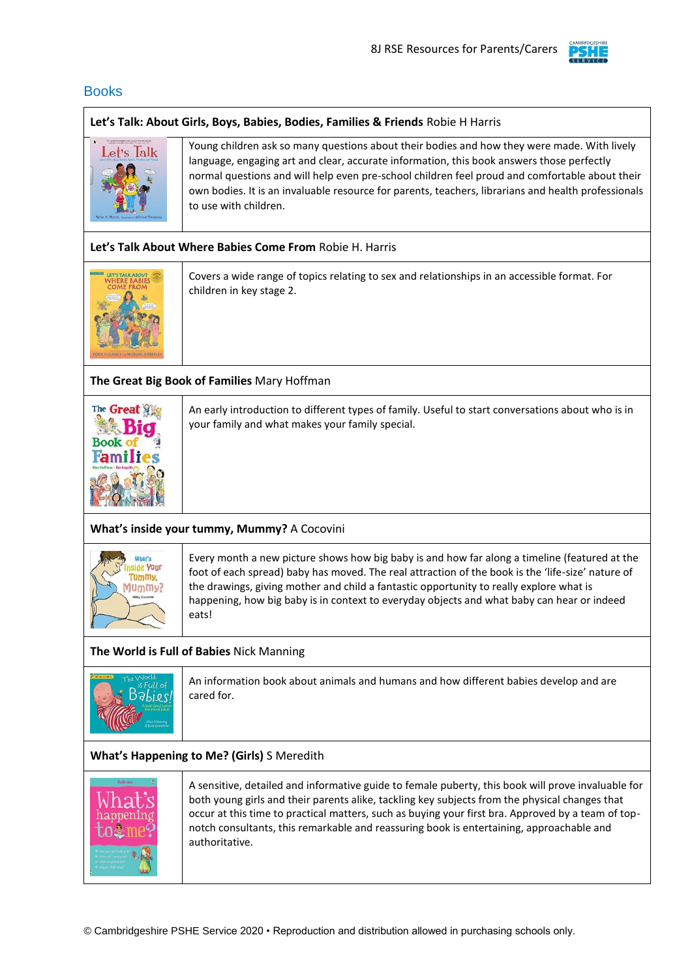

### **Books**

#### **Let's Talk: About Girls, Boys, Babies, Bodies, Families & Friends** Robie H Harris



Young children ask so many questions about their bodies and how they were made. With lively language, engaging art and clear, accurate information, this book answers those perfectly normal questions and will help even pre-school children feel proud and comfortable about their own bodies. It is an invaluable resource for parents, teachers, librarians and health professionals to use with children.

#### **Let's Talk About Where Babies Come From** Robie H. Harris



Covers a wide range of topics relating to sex and relationships in an accessible format. For children in key stage 2.

### **The Great Big Book of Families** Mary Hoffman



An early introduction to different types of family. Useful to start conversations about who is in your family and what makes your family special.

### **What's inside your tummy, Mummy?** A Cocovini



Every month a new picture shows how big baby is and how far along a timeline (featured at the foot of each spread) baby has moved. The real attraction of the book is the 'life-size' nature of the drawings, giving mother and child a fantastic opportunity to really explore what is happening, how big baby is in context to everyday objects and what baby can hear or indeed eats!

### **The World is Full of Babies** Nick Manning



An information book about animals and humans and how different babies develop and are cared for.

### **What's Happening to Me? (Girls)** S Meredith



A sensitive, detailed and informative guide to female puberty, this book will prove invaluable for both young girls and their parents alike, tackling key subjects from the physical changes that occur at this time to practical matters, such as buying your first bra. Approved by a team of topnotch consultants, this remarkable and reassuring book is entertaining, approachable and authoritative.